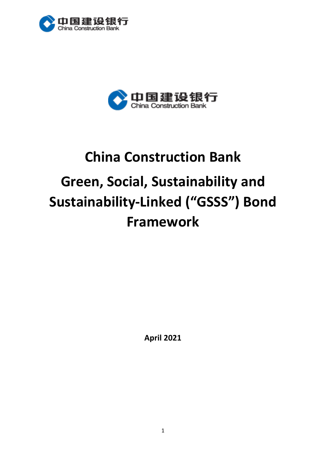



# **China Construction Bank Green, Social, Sustainability and Sustainability-Linked ("GSSS") Bond Framework**

**April 2021**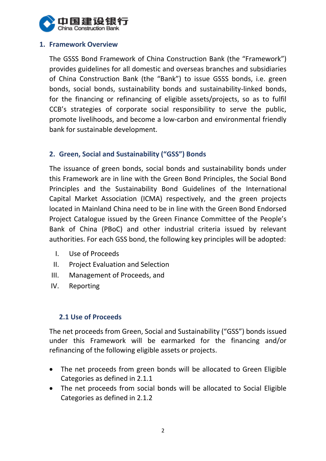

## **1. Framework Overview**

The GSSS Bond Framework of China Construction Bank (the "Framework") provides guidelines for all domestic and overseas branches and subsidiaries of China Construction Bank (the "Bank") to issue GSSS bonds, i.e. green bonds, social bonds, sustainability bonds and sustainability-linked bonds, for the financing or refinancing of eligible assets/projects, so as to fulfil CCB's strategies of corporate social responsibility to serve the public, promote livelihoods, and become a low-carbon and environmental friendly bank for sustainable development.

## **2. Green, Social and Sustainability ("GSS") Bonds**

The issuance of green bonds, social bonds and sustainability bonds under this Framework are in line with the Green Bond Principles, the Social Bond Principles and the Sustainability Bond Guidelines of the International Capital Market Association (ICMA) respectively, and the green projects located in Mainland China need to be in line with the Green Bond Endorsed Project Catalogue issued by the Green Finance Committee of the People's Bank of China (PBoC) and other industrial criteria issued by relevant authorities. For each GSS bond, the following key principles will be adopted:

- I. Use of Proceeds
- II. Project Evaluation and Selection
- III. Management of Proceeds, and
- IV. Reporting

#### **2.1 Use of Proceeds**

The net proceeds from Green, Social and Sustainability ("GSS") bonds issued under this Framework will be earmarked for the financing and/or refinancing of the following eligible assets or projects.

- The net proceeds from green bonds will be allocated to Green Eligible Categories as defined in 2.1.1
- The net proceeds from social bonds will be allocated to Social Eligible Categories as defined in 2.1.2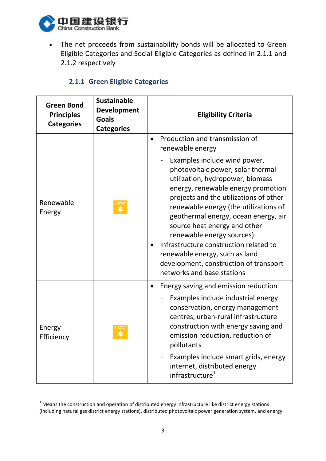

 $\overline{a}$ 

 The net proceeds from sustainability bonds will be allocated to Green Eligible Categories and Social Eligible Categories as defined in 2.1.1 and 2.1.2 respectively

|  |  |  | 2.1.1 Green Eligible Categories |
|--|--|--|---------------------------------|
|--|--|--|---------------------------------|

| <b>Green Bond</b><br><b>Principles</b><br><b>Categories</b> | <b>Sustainable</b><br><b>Development</b><br><b>Goals</b><br><b>Categories</b> | <b>Eligibility Criteria</b>                                                                                                                                                                                                                                                                                                                                                                                                                                                             |
|-------------------------------------------------------------|-------------------------------------------------------------------------------|-----------------------------------------------------------------------------------------------------------------------------------------------------------------------------------------------------------------------------------------------------------------------------------------------------------------------------------------------------------------------------------------------------------------------------------------------------------------------------------------|
|                                                             |                                                                               | Production and transmission of<br>$\bullet$<br>renewable energy                                                                                                                                                                                                                                                                                                                                                                                                                         |
| Renewable<br>Energy                                         |                                                                               | Examples include wind power,<br>photovoltaic power, solar thermal<br>utilization, hydropower, biomass<br>energy, renewable energy promotion<br>projects and the utilizations of other<br>renewable energy (the utilizations of<br>geothermal energy, ocean energy, air<br>source heat energy and other<br>renewable energy sources)<br>Infrastructure construction related to<br>renewable energy, such as land<br>development, construction of transport<br>networks and base stations |
| Energy<br>Efficiency                                        |                                                                               | Energy saving and emission reduction<br>$\bullet$<br>Examples include industrial energy<br>conservation, energy management<br>centres, urban-rural infrastructure<br>construction with energy saving and<br>emission reduction, reduction of<br>pollutants                                                                                                                                                                                                                              |
|                                                             |                                                                               | Examples include smart grids, energy<br>internet, distributed energy<br>infrastructure <sup>1</sup>                                                                                                                                                                                                                                                                                                                                                                                     |

 $1$  Means the construction and operation of distributed energy infrastructure like district energy stations (including natural gas district energy stations), distributed photovoltaic power generation system, and energy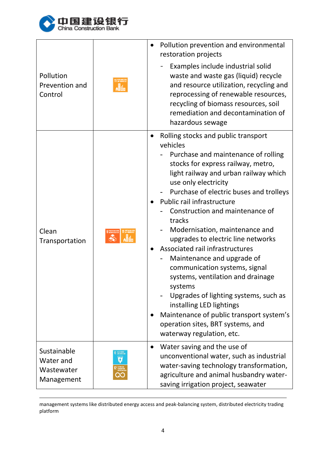

 $\overline{a}$ 

| Pollution<br>Prevention and<br>Control               | 11 SUSTAINABLE I        | Pollution prevention and environmental<br>restoration projects<br>Examples include industrial solid<br>waste and waste gas (liquid) recycle<br>and resource utilization, recycling and<br>reprocessing of renewable resources,<br>recycling of biomass resources, soil<br>remediation and decontamination of<br>hazardous sewage                                                                                                                                                                                                                                                                                                                                                                                                 |
|------------------------------------------------------|-------------------------|----------------------------------------------------------------------------------------------------------------------------------------------------------------------------------------------------------------------------------------------------------------------------------------------------------------------------------------------------------------------------------------------------------------------------------------------------------------------------------------------------------------------------------------------------------------------------------------------------------------------------------------------------------------------------------------------------------------------------------|
| Clean<br>Transportation                              | «                       | Rolling stocks and public transport<br>vehicles<br>Purchase and maintenance of rolling<br>stocks for express railway, metro,<br>light railway and urban railway which<br>use only electricity<br>Purchase of electric buses and trolleys<br>Public rail infrastructure<br>Construction and maintenance of<br>tracks<br>Modernisation, maintenance and<br>upgrades to electric line networks<br>Associated rail infrastructures<br>Maintenance and upgrade of<br>communication systems, signal<br>systems, ventilation and drainage<br>systems<br>Upgrades of lighting systems, such as<br>installing LED lightings<br>Maintenance of public transport system's<br>operation sites, BRT systems, and<br>waterway regulation, etc. |
| Sustainable<br>Water and<br>Wastewater<br>Management | ESPONSIELE<br>CINSUNFIN | Water saving and the use of<br>$\bullet$<br>unconventional water, such as industrial<br>water-saving technology transformation,<br>agriculture and animal husbandry water-<br>saving irrigation project, seawater                                                                                                                                                                                                                                                                                                                                                                                                                                                                                                                |

management systems like distributed energy access and peak-balancing system, distributed electricity trading platform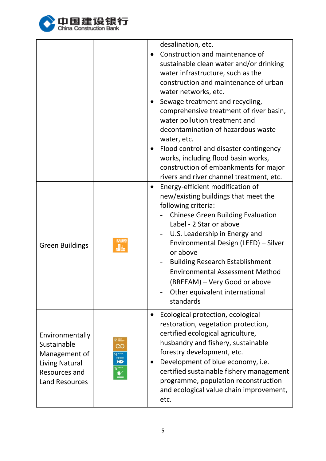

|                                                                                                             |                                                                     | desalination, etc.<br>Construction and maintenance of<br>sustainable clean water and/or drinking<br>water infrastructure, such as the<br>construction and maintenance of urban<br>water networks, etc.<br>Sewage treatment and recycling,<br>comprehensive treatment of river basin,<br>water pollution treatment and<br>decontamination of hazardous waste<br>water, etc.<br>Flood control and disaster contingency<br>works, including flood basin works,<br>construction of embankments for major<br>rivers and river channel treatment, etc. |  |
|-------------------------------------------------------------------------------------------------------------|---------------------------------------------------------------------|--------------------------------------------------------------------------------------------------------------------------------------------------------------------------------------------------------------------------------------------------------------------------------------------------------------------------------------------------------------------------------------------------------------------------------------------------------------------------------------------------------------------------------------------------|--|
| <b>Green Buildings</b>                                                                                      |                                                                     | Energy-efficient modification of<br>new/existing buildings that meet the<br>following criteria:<br><b>Chinese Green Building Evaluation</b><br>Label - 2 Star or above<br>U.S. Leadership in Energy and<br>Environmental Design (LEED) - Silver<br>or above<br><b>Building Research Establishment</b><br><b>Environmental Assessment Method</b><br>(BREEAM) – Very Good or above<br>Other equivalent international<br>standards                                                                                                                  |  |
| Environmentally<br>Sustainable<br>Management of<br>Living Natural<br>Resources and<br><b>Land Resources</b> | 12 SARGE<br>လ<br>14 ****<br>$\sum_{i=1}^{\infty}$<br>$15$ seem<br>≝ | Ecological protection, ecological<br>restoration, vegetation protection,<br>certified ecological agriculture,<br>husbandry and fishery, sustainable<br>forestry development, etc.<br>Development of blue economy, i.e.<br>certified sustainable fishery management<br>programme, population reconstruction<br>and ecological value chain improvement,<br>etc.                                                                                                                                                                                    |  |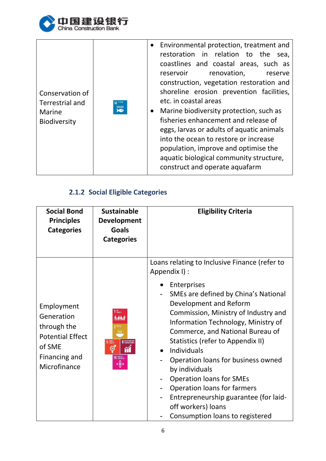

| Conservation of<br>Terrestrial and | 水下生物                  | Environmental protection, treatment and<br>$\bullet$<br>restoration in relation to the<br>sea,<br>coastlines and coastal areas, such as<br>reservoir<br>renovation,<br>reserve<br>construction, vegetation restoration and<br>shoreline erosion prevention facilities,<br>etc. in coastal areas         |
|------------------------------------|-----------------------|---------------------------------------------------------------------------------------------------------------------------------------------------------------------------------------------------------------------------------------------------------------------------------------------------------|
| Marine<br><b>Biodiversity</b>      | $\sum_{i=1}^{\infty}$ | Marine biodiversity protection, such as<br>$\bullet$<br>fisheries enhancement and release of<br>eggs, larvas or adults of aquatic animals<br>into the ocean to restore or increase<br>population, improve and optimise the<br>aquatic biological community structure,<br>construct and operate aquafarm |

## **2.1.2 Social Eligible Categories**

| <b>Social Bond</b><br><b>Principles</b><br><b>Categories</b>                                                  | <b>Sustainable</b><br><b>Development</b><br><b>Goals</b><br><b>Categories</b>              | <b>Eligibility Criteria</b>                                                                                                                                                                                                                                                                                                                                                                                                                                                 |
|---------------------------------------------------------------------------------------------------------------|--------------------------------------------------------------------------------------------|-----------------------------------------------------------------------------------------------------------------------------------------------------------------------------------------------------------------------------------------------------------------------------------------------------------------------------------------------------------------------------------------------------------------------------------------------------------------------------|
| Employment<br>Generation<br>through the<br><b>Potential Effect</b><br>of SME<br>Financing and<br>Microfinance | 1 Novem<br><b>Av 94.1</b><br>8 DECENT WIRK AND<br>5 SENDER<br>ම්<br><b>10 REDUCED</b><br>œ | Loans relating to Inclusive Finance (refer to<br>Appendix I) :<br>Enterprises<br>SMEs are defined by China's National<br>Development and Reform<br>Commission, Ministry of Industry and<br>Information Technology, Ministry of<br>Commerce, and National Bureau of<br>Statistics (refer to Appendix II)<br><b>Individuals</b><br>$\bullet$<br>Operation loans for business owned<br>by individuals<br><b>Operation loans for SMEs</b><br><b>Operation loans for farmers</b> |
|                                                                                                               |                                                                                            | Entrepreneurship guarantee (for laid-<br>off workers) loans<br>Consumption loans to registered                                                                                                                                                                                                                                                                                                                                                                              |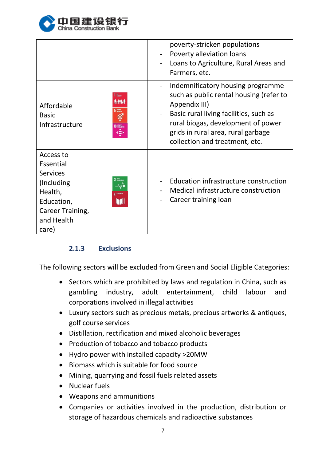

|                                                                                                                              |                                                     | poverty-stricken populations<br>Poverty alleviation loans<br>Loans to Agriculture, Rural Areas and<br>Farmers, etc.                                                                                                                                   |
|------------------------------------------------------------------------------------------------------------------------------|-----------------------------------------------------|-------------------------------------------------------------------------------------------------------------------------------------------------------------------------------------------------------------------------------------------------------|
| Affordable<br><b>Basic</b><br>Infrastructure                                                                                 | <b>MO</b><br>POVERTY<br>5 SEMDER<br>⊜<br>10 REDUCED | Indemnificatory housing programme<br>such as public rental housing (refer to<br>Appendix III)<br>Basic rural living facilities, such as<br>rural biogas, development of power<br>grids in rural area, rural garbage<br>collection and treatment, etc. |
| Access to<br>Essential<br><b>Services</b><br>(Including)<br>Health,<br>Education,<br>Career Training,<br>and Health<br>care) | 3 與好<br>–⁄ਅ⁄∙<br>4 优质教育                             | Education infrastructure construction<br>Medical infrastructure construction<br>Career training loan                                                                                                                                                  |

## **2.1.3 Exclusions**

The following sectors will be excluded from Green and Social Eligible Categories:

- Sectors which are prohibited by laws and regulation in China, such as gambling industry, adult entertainment, child labour and corporations involved in illegal activities
- Luxury sectors such as precious metals, precious artworks & antiques, golf course services
- Distillation, rectification and mixed alcoholic beverages
- Production of tobacco and tobacco products
- Hydro power with installed capacity >20MW
- Biomass which is suitable for food source
- Mining, quarrying and fossil fuels related assets
- Nuclear fuels
- Weapons and ammunitions
- Companies or activities involved in the production, distribution or storage of hazardous chemicals and radioactive substances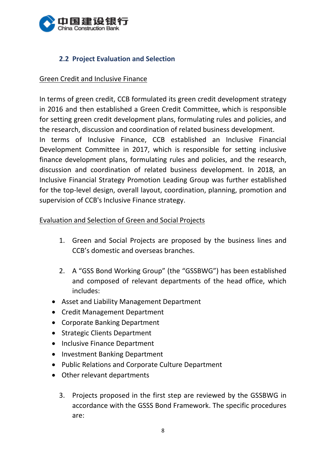

## **2.2 Project Evaluation and Selection**

#### Green Credit and Inclusive Finance

In terms of green credit, CCB formulated its green credit development strategy in 2016 and then established a Green Credit Committee, which is responsible for setting green credit development plans, formulating rules and policies, and the research, discussion and coordination of related business development.

In terms of Inclusive Finance, CCB established an Inclusive Financial Development Committee in 2017, which is responsible for setting inclusive finance development plans, formulating rules and policies, and the research, discussion and coordination of related business development. In 2018, an Inclusive Financial Strategy Promotion Leading Group was further established for the top-level design, overall layout, coordination, planning, promotion and supervision of CCB's Inclusive Finance strategy.

#### Evaluation and Selection of Green and Social Projects

- 1. Green and Social Projects are proposed by the business lines and CCB's domestic and overseas branches.
- 2. A "GSS Bond Working Group" (the "GSSBWG") has been established and composed of relevant departments of the head office, which includes:
- Asset and Liability Management Department
- Credit Management Department
- Corporate Banking Department
- Strategic Clients Department
- Inclusive Finance Department
- Investment Banking Department
- Public Relations and Corporate Culture Department
- Other relevant departments
	- 3. Projects proposed in the first step are reviewed by the GSSBWG in accordance with the GSSS Bond Framework. The specific procedures are: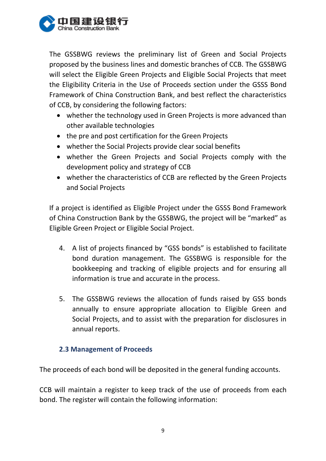

The GSSBWG reviews the preliminary list of Green and Social Projects proposed by the business lines and domestic branches of CCB. The GSSBWG will select the Eligible Green Projects and Eligible Social Projects that meet the Eligibility Criteria in the Use of Proceeds section under the GSSS Bond Framework of China Construction Bank, and best reflect the characteristics of CCB, by considering the following factors:

- whether the technology used in Green Projects is more advanced than other available technologies
- the pre and post certification for the Green Projects
- whether the Social Projects provide clear social benefits
- whether the Green Projects and Social Projects comply with the development policy and strategy of CCB
- whether the characteristics of CCB are reflected by the Green Projects and Social Projects

If a project is identified as Eligible Project under the GSSS Bond Framework of China Construction Bank by the GSSBWG, the project will be "marked" as Eligible Green Project or Eligible Social Project.

- 4. A list of projects financed by "GSS bonds" is established to facilitate bond duration management. The GSSBWG is responsible for the bookkeeping and tracking of eligible projects and for ensuring all information is true and accurate in the process.
- 5. The GSSBWG reviews the allocation of funds raised by GSS bonds annually to ensure appropriate allocation to Eligible Green and Social Projects, and to assist with the preparation for disclosures in annual reports.

#### **2.3 Management of Proceeds**

The proceeds of each bond will be deposited in the general funding accounts.

CCB will maintain a register to keep track of the use of proceeds from each bond. The register will contain the following information: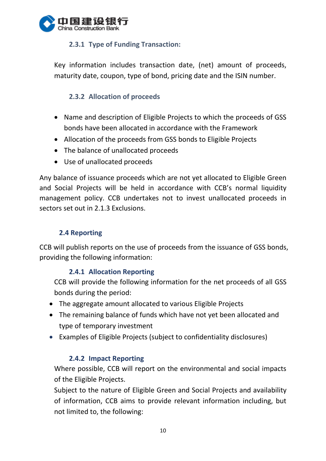

## **2.3.1 Type of Funding Transaction:**

Key information includes transaction date, (net) amount of proceeds, maturity date, coupon, type of bond, pricing date and the ISIN number.

## **2.3.2 Allocation of proceeds**

- Name and description of Eligible Projects to which the proceeds of GSS bonds have been allocated in accordance with the Framework
- Allocation of the proceeds from GSS bonds to Eligible Projects
- The balance of unallocated proceeds
- Use of unallocated proceeds

Any balance of issuance proceeds which are not yet allocated to Eligible Green and Social Projects will be held in accordance with CCB's normal liquidity management policy. CCB undertakes not to invest unallocated proceeds in sectors set out in 2.1.3 Exclusions.

## **2.4 Reporting**

CCB will publish reports on the use of proceeds from the issuance of GSS bonds, providing the following information:

## **2.4.1 Allocation Reporting**

CCB will provide the following information for the net proceeds of all GSS bonds during the period:

- The aggregate amount allocated to various Eligible Projects
- The remaining balance of funds which have not yet been allocated and type of temporary investment
- Examples of Eligible Projects (subject to confidentiality disclosures)

## **2.4.2 Impact Reporting**

Where possible, CCB will report on the environmental and social impacts of the Eligible Projects.

Subject to the nature of Eligible Green and Social Projects and availability of information, CCB aims to provide relevant information including, but not limited to, the following: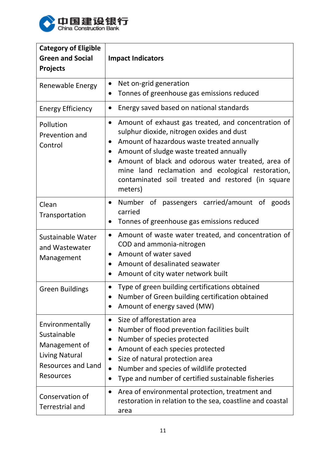

| <b>Category of Eligible</b><br><b>Green and Social</b><br><b>Projects</b>                                          | <b>Impact Indicators</b>                                                                                                                                                                                                                                                                                                                                                                       |
|--------------------------------------------------------------------------------------------------------------------|------------------------------------------------------------------------------------------------------------------------------------------------------------------------------------------------------------------------------------------------------------------------------------------------------------------------------------------------------------------------------------------------|
| Renewable Energy                                                                                                   | Net on-grid generation<br>$\bullet$<br>Tonnes of greenhouse gas emissions reduced<br>$\bullet$                                                                                                                                                                                                                                                                                                 |
| <b>Energy Efficiency</b>                                                                                           | Energy saved based on national standards<br>$\bullet$                                                                                                                                                                                                                                                                                                                                          |
| Pollution<br>Prevention and<br>Control                                                                             | Amount of exhaust gas treated, and concentration of<br>$\bullet$<br>sulphur dioxide, nitrogen oxides and dust<br>Amount of hazardous waste treated annually<br>$\bullet$<br>Amount of sludge waste treated annually<br>Amount of black and odorous water treated, area of<br>mine land reclamation and ecological restoration,<br>contaminated soil treated and restored (in square<br>meters) |
| Clean<br>Transportation                                                                                            | Number of passengers carried/amount of goods<br>$\bullet$<br>carried<br>Tonnes of greenhouse gas emissions reduced<br>$\bullet$                                                                                                                                                                                                                                                                |
| Sustainable Water<br>and Wastewater<br>Management                                                                  | Amount of waste water treated, and concentration of<br>$\bullet$<br>COD and ammonia-nitrogen<br>Amount of water saved<br>$\bullet$<br>Amount of desalinated seawater<br>$\bullet$<br>Amount of city water network built<br>$\bullet$                                                                                                                                                           |
| <b>Green Buildings</b>                                                                                             | Type of green building certifications obtained<br>$\bullet$<br>Number of Green building certification obtained<br>$\bullet$<br>Amount of energy saved (MW)<br>$\bullet$                                                                                                                                                                                                                        |
| Environmentally<br>Sustainable<br>Management of<br>Living Natural<br><b>Resources and Land</b><br><b>Resources</b> | Size of afforestation area<br>$\bullet$<br>Number of flood prevention facilities built<br>$\bullet$<br>Number of species protected<br>Amount of each species protected<br>$\bullet$<br>Size of natural protection area<br>$\bullet$<br>Number and species of wildlife protected<br>$\bullet$<br>Type and number of certified sustainable fisheries                                             |
| Conservation of<br><b>Terrestrial and</b>                                                                          | Area of environmental protection, treatment and<br>$\bullet$<br>restoration in relation to the sea, coastline and coastal<br>area                                                                                                                                                                                                                                                              |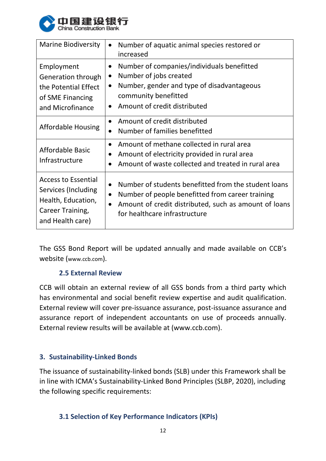

| <b>Marine Biodiversity</b>                                                                                      | Number of aquatic animal species restored or<br>$\bullet$<br>increased                                                                                                                                                                    |
|-----------------------------------------------------------------------------------------------------------------|-------------------------------------------------------------------------------------------------------------------------------------------------------------------------------------------------------------------------------------------|
| Employment<br><b>Generation through</b><br>the Potential Effect<br>of SME Financing<br>and Microfinance         | Number of companies/individuals benefitted<br>$\bullet$<br>Number of jobs created<br>$\bullet$<br>Number, gender and type of disadvantageous<br>$\bullet$<br>community benefitted<br>Amount of credit distributed<br>$\bullet$            |
| <b>Affordable Housing</b>                                                                                       | Amount of credit distributed<br>$\bullet$<br>Number of families benefitted<br>$\bullet$                                                                                                                                                   |
| Affordable Basic<br>Infrastructure                                                                              | Amount of methane collected in rural area<br>$\bullet$<br>Amount of electricity provided in rural area<br>Amount of waste collected and treated in rural area                                                                             |
| <b>Access to Essential</b><br>Services (Including<br>Health, Education,<br>Career Training,<br>and Health care) | Number of students benefitted from the student loans<br>$\bullet$<br>Number of people benefitted from career training<br>$\bullet$<br>Amount of credit distributed, such as amount of loans<br>$\bullet$<br>for healthcare infrastructure |

The GSS Bond Report will be updated annually and made available on CCB's website (www.ccb.com).

## **2.5 External Review**

CCB will obtain an external review of all GSS bonds from a third party which has environmental and social benefit review expertise and audit qualification. External review will cover pre-issuance assurance, post-issuance assurance and assurance report of independent accountants on use of proceeds annually. External review results will be available at (www.ccb.com).

## **3. Sustainability-Linked Bonds**

The issuance of sustainability-linked bonds (SLB) under this Framework shall be in line with ICMA's Sustainability-Linked Bond Principles (SLBP, 2020), including the following specific requirements:

## **3.1 Selection of Key Performance Indicators (KPIs)**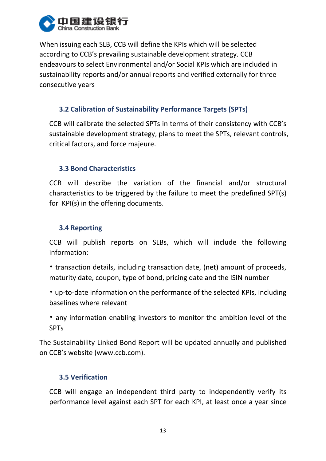

When issuing each SLB, CCB will define the KPIs which will be selected according to CCB's prevailing sustainable development strategy. CCB endeavours to select Environmental and/or Social KPIs which are included in sustainability reports and/or annual reports and verified externally for three consecutive years

## **3.2 Calibration of Sustainability Performance Targets (SPTs)**

CCB will calibrate the selected SPTs in terms of their consistency with CCB's sustainable development strategy, plans to meet the SPTs, relevant controls, critical factors, and force majeure.

## **3.3 Bond Characteristics**

CCB will describe the variation of the financial and/or structural characteristics to be triggered by the failure to meet the predefined SPT(s) for KPI(s) in the offering documents.

## **3.4 Reporting**

CCB will publish reports on SLBs, which will include the following information:

- transaction details, including transaction date, (net) amount of proceeds, maturity date, coupon, type of bond, pricing date and the ISIN number
- up-to-date information on the performance of the selected KPIs, including baselines where relevant
- any information enabling investors to monitor the ambition level of the SPTs

The Sustainability-Linked Bond Report will be updated annually and published on CCB's website (www.ccb.com).

## **3.5 Verification**

CCB will engage an independent third party to independently verify its performance level against each SPT for each KPI, at least once a year since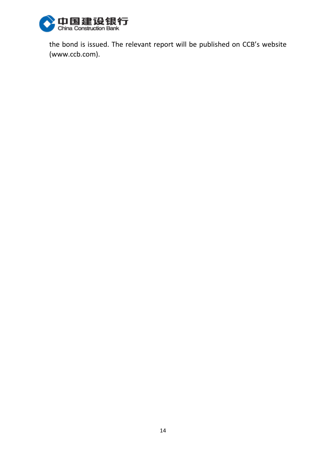

the bond is issued. The relevant report will be published on CCB's website (www.ccb.com).